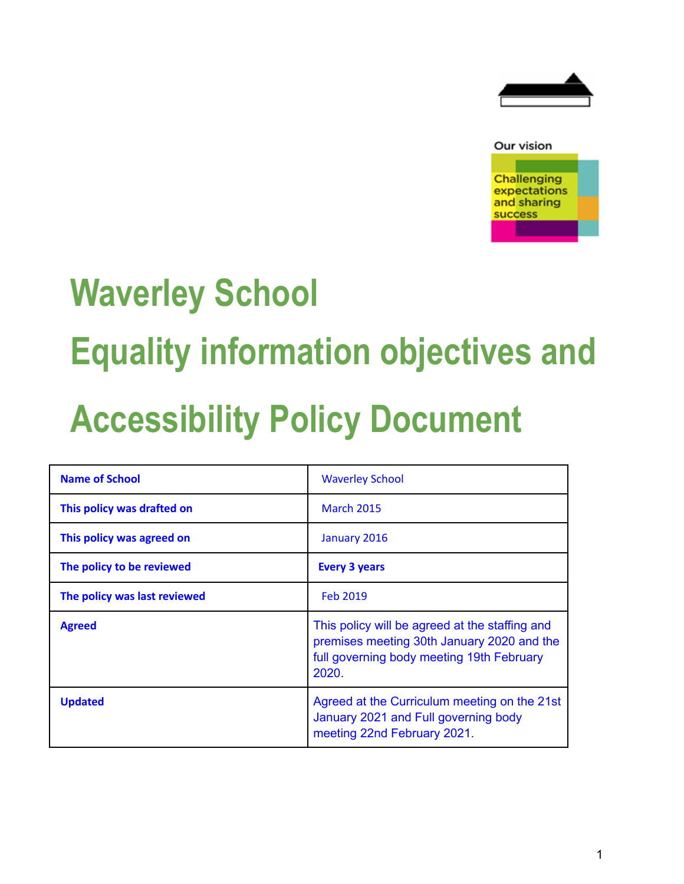



# **Waverley School Equality information objectives and**

## **Accessibility Policy Document**

| <b>Name of School</b>        | <b>Waverley School</b>                                                                                                                             |
|------------------------------|----------------------------------------------------------------------------------------------------------------------------------------------------|
| This policy was drafted on   | <b>March 2015</b>                                                                                                                                  |
| This policy was agreed on    | January 2016                                                                                                                                       |
| The policy to be reviewed    | <b>Every 3 years</b>                                                                                                                               |
| The policy was last reviewed | Feb 2019                                                                                                                                           |
| <b>Agreed</b>                | This policy will be agreed at the staffing and<br>premises meeting 30th January 2020 and the<br>full governing body meeting 19th February<br>2020. |
| <b>Updated</b>               | Agreed at the Curriculum meeting on the 21st<br>January 2021 and Full governing body<br>meeting 22nd February 2021.                                |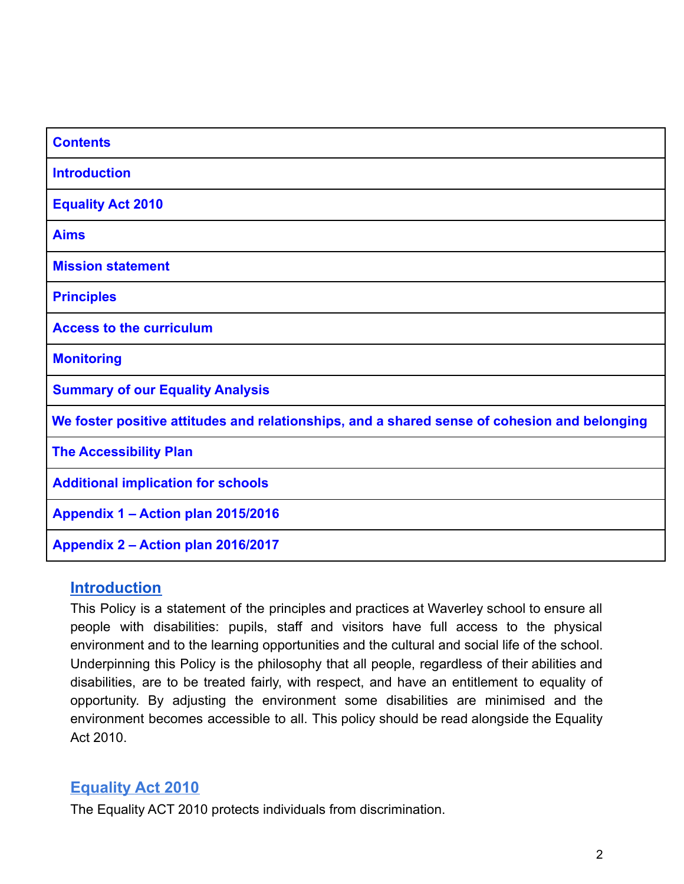| <b>Contents</b>                                                                              |
|----------------------------------------------------------------------------------------------|
| <b>Introduction</b>                                                                          |
| <b>Equality Act 2010</b>                                                                     |
| <b>Aims</b>                                                                                  |
| <b>Mission statement</b>                                                                     |
| <b>Principles</b>                                                                            |
| <b>Access to the curriculum</b>                                                              |
| <b>Monitoring</b>                                                                            |
| <b>Summary of our Equality Analysis</b>                                                      |
| We foster positive attitudes and relationships, and a shared sense of cohesion and belonging |
| <b>The Accessibility Plan</b>                                                                |
| <b>Additional implication for schools</b>                                                    |
| Appendix 1 - Action plan 2015/2016                                                           |
| Appendix 2 - Action plan 2016/2017                                                           |

#### **Introduction**

This Policy is a statement of the principles and practices at Waverley school to ensure all people with disabilities: pupils, staff and visitors have full access to the physical environment and to the learning opportunities and the cultural and social life of the school. Underpinning this Policy is the philosophy that all people, regardless of their abilities and disabilities, are to be treated fairly, with respect, and have an entitlement to equality of opportunity. By adjusting the environment some disabilities are minimised and the environment becomes accessible to all. This policy should be read alongside the Equality Act 2010.

## **Equality Act 2010**

The Equality ACT 2010 protects individuals from discrimination.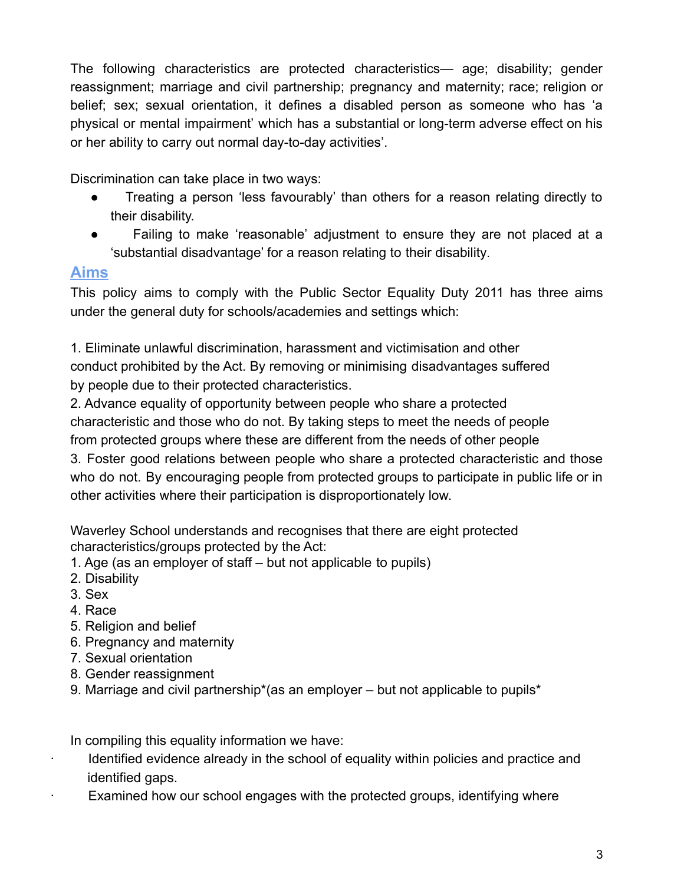The following characteristics are protected characteristics— age; disability; gender reassignment; marriage and civil partnership; pregnancy and maternity; race; religion or belief; sex; sexual orientation, it defines a disabled person as someone who has 'a physical or mental impairment' which has a substantial or long-term adverse effect on his or her ability to carry out normal day-to-day activities'.

Discrimination can take place in two ways:

- Treating a person 'less favourably' than others for a reason relating directly to their disability.
- Failing to make 'reasonable' adjustment to ensure they are not placed at a 'substantial disadvantage' for a reason relating to their disability.

## **Aims**

This policy aims to comply with the Public Sector Equality Duty 2011 has three aims under the general duty for schools/academies and settings which:

1. Eliminate unlawful discrimination, harassment and victimisation and other conduct prohibited by the Act. By removing or minimising disadvantages suffered by people due to their protected characteristics.

2. Advance equality of opportunity between people who share a protected characteristic and those who do not. By taking steps to meet the needs of people from protected groups where these are different from the needs of other people

3. Foster good relations between people who share a protected characteristic and those who do not. By encouraging people from protected groups to participate in public life or in other activities where their participation is disproportionately low.

Waverley School understands and recognises that there are eight protected characteristics/groups protected by the Act:

- 1. Age (as an employer of staff but not applicable to pupils)
- 2. Disability
- 3. Sex
- 4. Race
- 5. Religion and belief
- 6. Pregnancy and maternity
- 7. Sexual orientation
- 8. Gender reassignment
- 9. Marriage and civil partnership\*(as an employer but not applicable to pupils\*

In compiling this equality information we have:

- Identified evidence already in the school of equality within policies and practice and identified gaps.
- Examined how our school engages with the protected groups, identifying where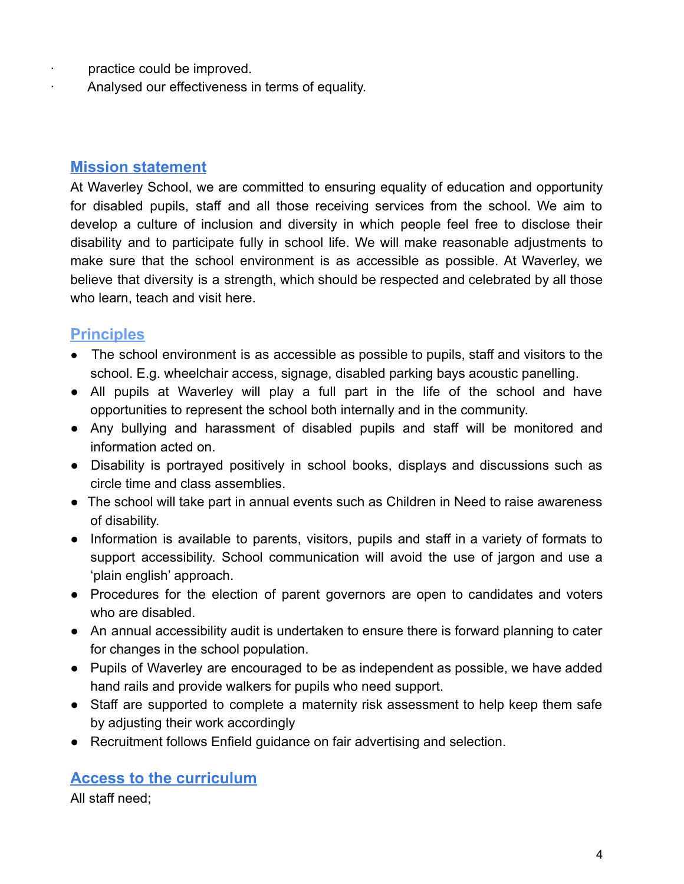- · practice could be improved.
	- Analysed our effectiveness in terms of equality.

#### **Mission statement**

At Waverley School, we are committed to ensuring equality of education and opportunity for disabled pupils, staff and all those receiving services from the school. We aim to develop a culture of inclusion and diversity in which people feel free to disclose their disability and to participate fully in school life. We will make reasonable adjustments to make sure that the school environment is as accessible as possible. At Waverley, we believe that diversity is a strength, which should be respected and celebrated by all those who learn, teach and visit here.

## **Principles**

- The school environment is as accessible as possible to pupils, staff and visitors to the school. E.g. wheelchair access, signage, disabled parking bays acoustic panelling.
- All pupils at Waverley will play a full part in the life of the school and have opportunities to represent the school both internally and in the community.
- Any bullying and harassment of disabled pupils and staff will be monitored and information acted on.
- Disability is portrayed positively in school books, displays and discussions such as circle time and class assemblies.
- The school will take part in annual events such as Children in Need to raise awareness of disability.
- Information is available to parents, visitors, pupils and staff in a variety of formats to support accessibility. School communication will avoid the use of jargon and use a 'plain english' approach.
- Procedures for the election of parent governors are open to candidates and voters who are disabled.
- An annual accessibility audit is undertaken to ensure there is forward planning to cater for changes in the school population.
- Pupils of Waverley are encouraged to be as independent as possible, we have added hand rails and provide walkers for pupils who need support.
- Staff are supported to complete a maternity risk assessment to help keep them safe by adjusting their work accordingly
- Recruitment follows Enfield guidance on fair advertising and selection.

#### **Access to the curriculum**

All staff need;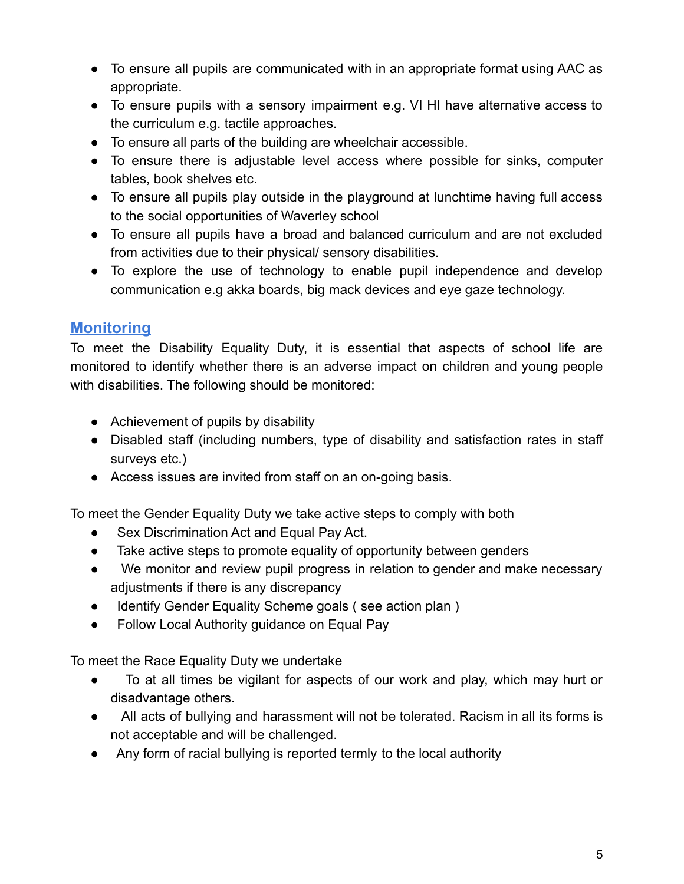- To ensure all pupils are communicated with in an appropriate format using AAC as appropriate.
- To ensure pupils with a sensory impairment e.g. VI HI have alternative access to the curriculum e.g. tactile approaches.
- To ensure all parts of the building are wheelchair accessible.
- To ensure there is adjustable level access where possible for sinks, computer tables, book shelves etc.
- To ensure all pupils play outside in the playground at lunchtime having full access to the social opportunities of Waverley school
- To ensure all pupils have a broad and balanced curriculum and are not excluded from activities due to their physical/ sensory disabilities.
- To explore the use of technology to enable pupil independence and develop communication e.g akka boards, big mack devices and eye gaze technology.

## **Monitoring**

To meet the Disability Equality Duty, it is essential that aspects of school life are monitored to identify whether there is an adverse impact on children and young people with disabilities. The following should be monitored:

- Achievement of pupils by disability
- Disabled staff (including numbers, type of disability and satisfaction rates in staff surveys etc.)
- Access issues are invited from staff on an on-going basis.

To meet the Gender Equality Duty we take active steps to comply with both

- Sex Discrimination Act and Equal Pay Act.
- Take active steps to promote equality of opportunity between genders
- We monitor and review pupil progress in relation to gender and make necessary adjustments if there is any discrepancy
- Identify Gender Equality Scheme goals ( see action plan )
- Follow Local Authority guidance on Equal Pay

To meet the Race Equality Duty we undertake

- To at all times be vigilant for aspects of our work and play, which may hurt or disadvantage others.
- All acts of bullying and harassment will not be tolerated. Racism in all its forms is not acceptable and will be challenged.
- Any form of racial bullying is reported termly to the local authority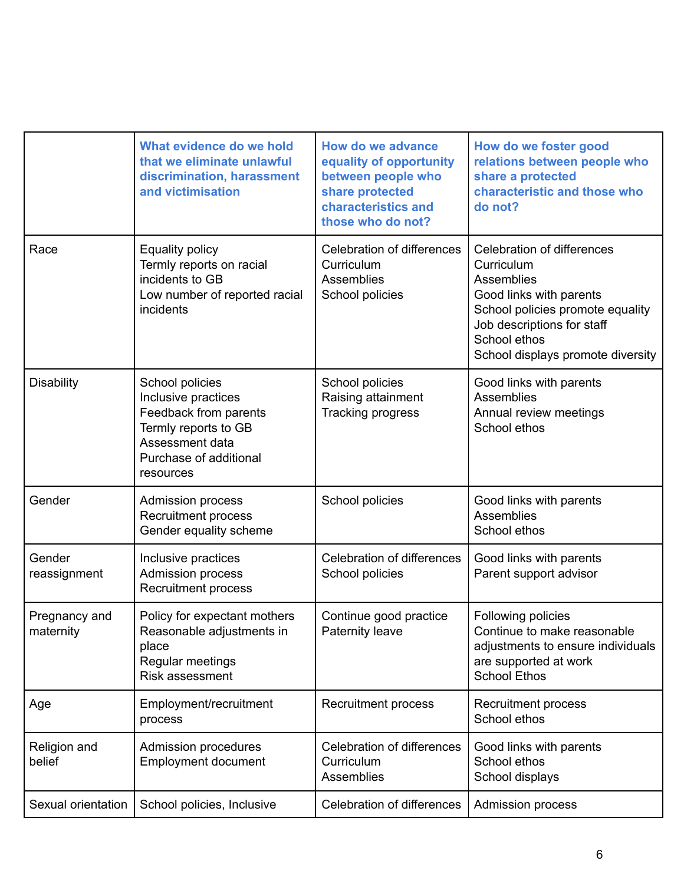|                            | What evidence do we hold<br>that we eliminate unlawful<br>discrimination, harassment<br>and victimisation                                         | <b>How do we advance</b><br>equality of opportunity<br>between people who<br>share protected<br>characteristics and<br>those who do not? | How do we foster good<br>relations between people who<br>share a protected<br>characteristic and those who<br>do not?                                                                                           |
|----------------------------|---------------------------------------------------------------------------------------------------------------------------------------------------|------------------------------------------------------------------------------------------------------------------------------------------|-----------------------------------------------------------------------------------------------------------------------------------------------------------------------------------------------------------------|
| Race                       | <b>Equality policy</b><br>Termly reports on racial<br>incidents to GB<br>Low number of reported racial<br>incidents                               | Celebration of differences<br>Curriculum<br>Assemblies<br>School policies                                                                | <b>Celebration of differences</b><br>Curriculum<br>Assemblies<br>Good links with parents<br>School policies promote equality<br>Job descriptions for staff<br>School ethos<br>School displays promote diversity |
| <b>Disability</b>          | School policies<br>Inclusive practices<br>Feedback from parents<br>Termly reports to GB<br>Assessment data<br>Purchase of additional<br>resources | School policies<br>Raising attainment<br><b>Tracking progress</b>                                                                        | Good links with parents<br>Assemblies<br>Annual review meetings<br>School ethos                                                                                                                                 |
| Gender                     | <b>Admission process</b><br><b>Recruitment process</b><br>Gender equality scheme                                                                  | School policies                                                                                                                          | Good links with parents<br>Assemblies<br>School ethos                                                                                                                                                           |
| Gender<br>reassignment     | Inclusive practices<br>Admission process<br><b>Recruitment process</b>                                                                            | <b>Celebration of differences</b><br>School policies                                                                                     | Good links with parents<br>Parent support advisor                                                                                                                                                               |
| Pregnancy and<br>maternity | Policy for expectant mothers<br>Reasonable adjustments in<br>place<br>Regular meetings<br>Risk assessment                                         | Continue good practice<br>Paternity leave                                                                                                | Following policies<br>Continue to make reasonable<br>adjustments to ensure individuals<br>are supported at work<br><b>School Ethos</b>                                                                          |
| Age                        | Employment/recruitment<br>process                                                                                                                 | Recruitment process                                                                                                                      | Recruitment process<br>School ethos                                                                                                                                                                             |
| Religion and<br>belief     | Admission procedures<br><b>Employment document</b>                                                                                                | <b>Celebration of differences</b><br>Curriculum<br><b>Assemblies</b>                                                                     | Good links with parents<br>School ethos<br>School displays                                                                                                                                                      |
| Sexual orientation         | School policies, Inclusive                                                                                                                        | <b>Celebration of differences</b>                                                                                                        | Admission process                                                                                                                                                                                               |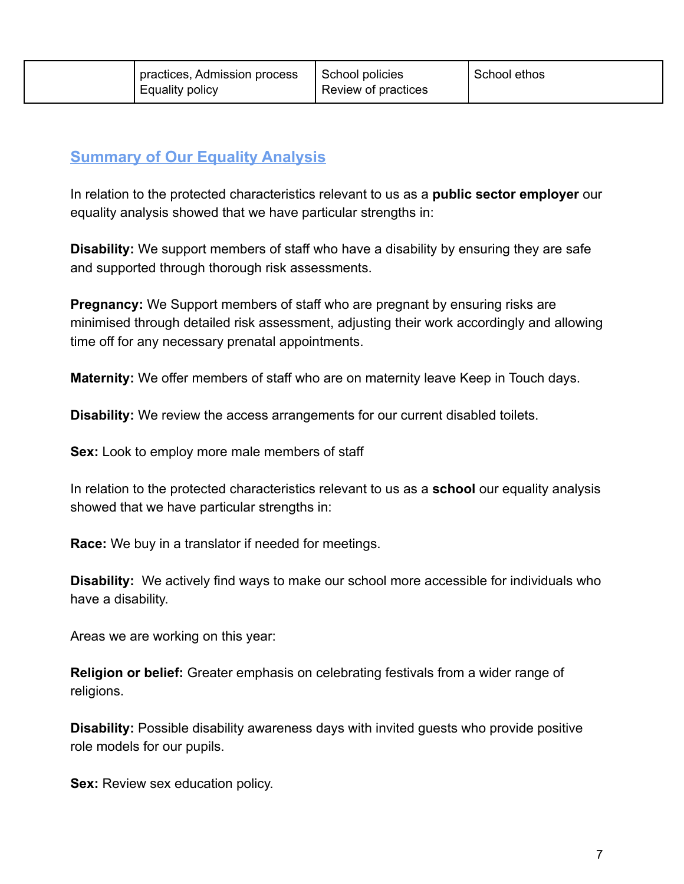| practices, Admission process<br>Equality policy | School policies<br>Review of practices | School ethos |
|-------------------------------------------------|----------------------------------------|--------------|
|-------------------------------------------------|----------------------------------------|--------------|

## **Summary of Our Equality Analysis**

In relation to the protected characteristics relevant to us as a **public sector employer** our equality analysis showed that we have particular strengths in:

**Disability:** We support members of staff who have a disability by ensuring they are safe and supported through thorough risk assessments.

**Pregnancy:** We Support members of staff who are pregnant by ensuring risks are minimised through detailed risk assessment, adjusting their work accordingly and allowing time off for any necessary prenatal appointments.

**Maternity:** We offer members of staff who are on maternity leave Keep in Touch days.

**Disability:** We review the access arrangements for our current disabled toilets.

**Sex:** Look to employ more male members of staff

In relation to the protected characteristics relevant to us as a **school** our equality analysis showed that we have particular strengths in:

**Race:** We buy in a translator if needed for meetings.

**Disability:** We actively find ways to make our school more accessible for individuals who have a disability.

Areas we are working on this year:

**Religion or belief:** Greater emphasis on celebrating festivals from a wider range of religions.

**Disability:** Possible disability awareness days with invited guests who provide positive role models for our pupils.

**Sex:** Review sex education policy.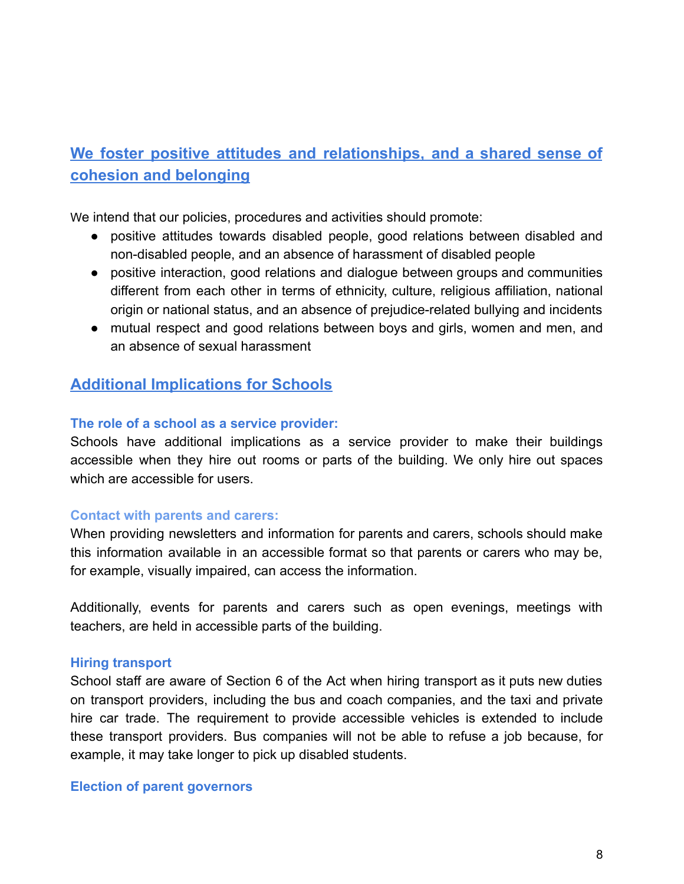## **We foster positive attitudes and relationships, and a shared sense of cohesion and belonging**

We intend that our policies, procedures and activities should promote:

- positive attitudes towards disabled people, good relations between disabled and non-disabled people, and an absence of harassment of disabled people
- positive interaction, good relations and dialogue between groups and communities different from each other in terms of ethnicity, culture, religious affiliation, national origin or national status, and an absence of prejudice-related bullying and incidents
- mutual respect and good relations between boys and girls, women and men, and an absence of sexual harassment

## **Additional Implications for Schools**

#### **The role of a school as a service provider:**

Schools have additional implications as a service provider to make their buildings accessible when they hire out rooms or parts of the building. We only hire out spaces which are accessible for users.

#### **Contact with parents and carers:**

When providing newsletters and information for parents and carers, schools should make this information available in an accessible format so that parents or carers who may be, for example, visually impaired, can access the information.

Additionally, events for parents and carers such as open evenings, meetings with teachers, are held in accessible parts of the building.

#### **Hiring transport**

School staff are aware of Section 6 of the Act when hiring transport as it puts new duties on transport providers, including the bus and coach companies, and the taxi and private hire car trade. The requirement to provide accessible vehicles is extended to include these transport providers. Bus companies will not be able to refuse a job because, for example, it may take longer to pick up disabled students.

#### **Election of parent governors**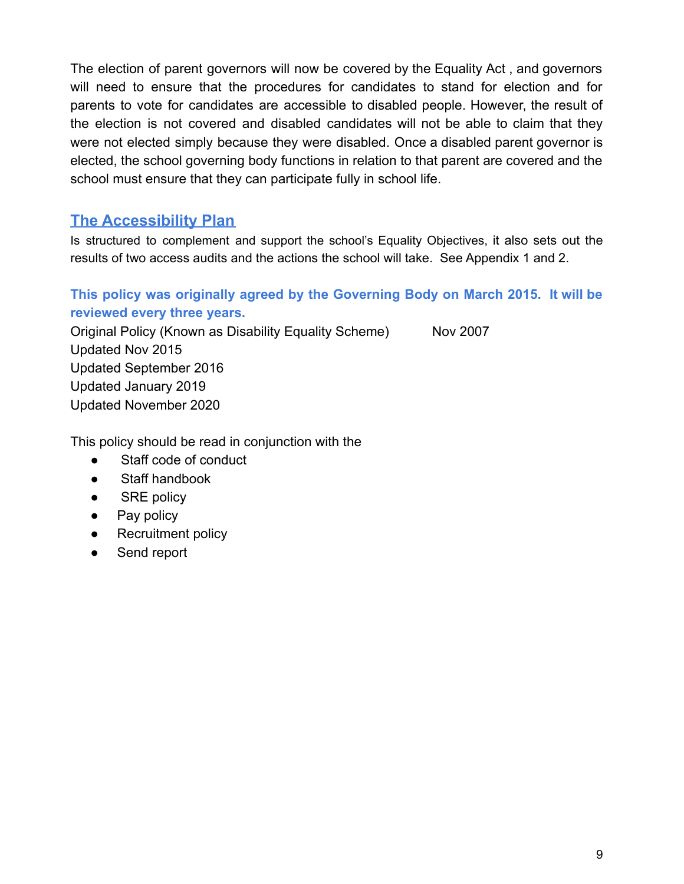The election of parent governors will now be covered by the Equality Act , and governors will need to ensure that the procedures for candidates to stand for election and for parents to vote for candidates are accessible to disabled people. However, the result of the election is not covered and disabled candidates will not be able to claim that they were not elected simply because they were disabled. Once a disabled parent governor is elected, the school governing body functions in relation to that parent are covered and the school must ensure that they can participate fully in school life.

## **The Accessibility Plan**

Is structured to complement and support the school's Equality Objectives, it also sets out the results of two access audits and the actions the school will take. See Appendix 1 and 2.

## **This policy was originally agreed by the Governing Body on March 2015. It will be reviewed every three years.**

Original Policy (Known as Disability Equality Scheme) Nov 2007 Updated Nov 2015 Updated September 2016 Updated January 2019 Updated November 2020

This policy should be read in conjunction with the

- Staff code of conduct
- Staff handbook
- SRE policy
- Pay policy
- Recruitment policy
- Send report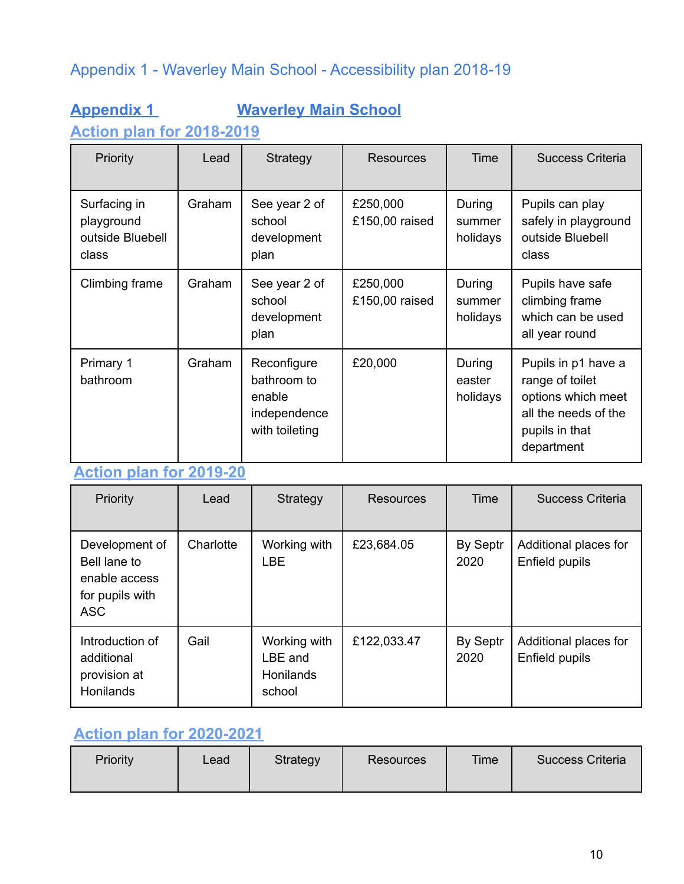## Appendix 1 - Waverley Main School - Accessibility plan 2018-19

## **Appendix 1 Waverley Main School**

**Action plan for 2018-2019**

| Priority                                                | Lead   | Strategy                                                               | <b>Resources</b>           | Time                         | <b>Success Criteria</b>                                                                                              |
|---------------------------------------------------------|--------|------------------------------------------------------------------------|----------------------------|------------------------------|----------------------------------------------------------------------------------------------------------------------|
| Surfacing in<br>playground<br>outside Bluebell<br>class | Graham | See year 2 of<br>school<br>development<br>plan                         | £250,000<br>£150,00 raised | During<br>summer<br>holidays | Pupils can play<br>safely in playground<br>outside Bluebell<br>class                                                 |
| Climbing frame                                          | Graham | See year 2 of<br>school<br>development<br>plan                         | £250,000<br>£150,00 raised | During<br>summer<br>holidays | Pupils have safe<br>climbing frame<br>which can be used<br>all year round                                            |
| Primary 1<br>bathroom                                   | Graham | Reconfigure<br>bathroom to<br>enable<br>independence<br>with toileting | £20,000                    | During<br>easter<br>holidays | Pupils in p1 have a<br>range of toilet<br>options which meet<br>all the needs of the<br>pupils in that<br>department |

## **Action plan for 2019-20**

| Priority                                                                         | Lead      | Strategy                                              | <b>Resources</b> | Time             | <b>Success Criteria</b>                 |
|----------------------------------------------------------------------------------|-----------|-------------------------------------------------------|------------------|------------------|-----------------------------------------|
| Development of<br>Bell lane to<br>enable access<br>for pupils with<br><b>ASC</b> | Charlotte | Working with<br><b>LBE</b>                            | £23,684.05       | By Septr<br>2020 | Additional places for<br>Enfield pupils |
| Introduction of<br>additional<br>provision at<br><b>Honilands</b>                | Gail      | Working with<br>LBE and<br><b>Honilands</b><br>school | £122,033.47      | By Septr<br>2020 | Additional places for<br>Enfield pupils |

## **Action plan for 2020-2021**

| Priority | Lead | Strategy | <b>Resources</b> | Time | Success Criteria |
|----------|------|----------|------------------|------|------------------|
|----------|------|----------|------------------|------|------------------|